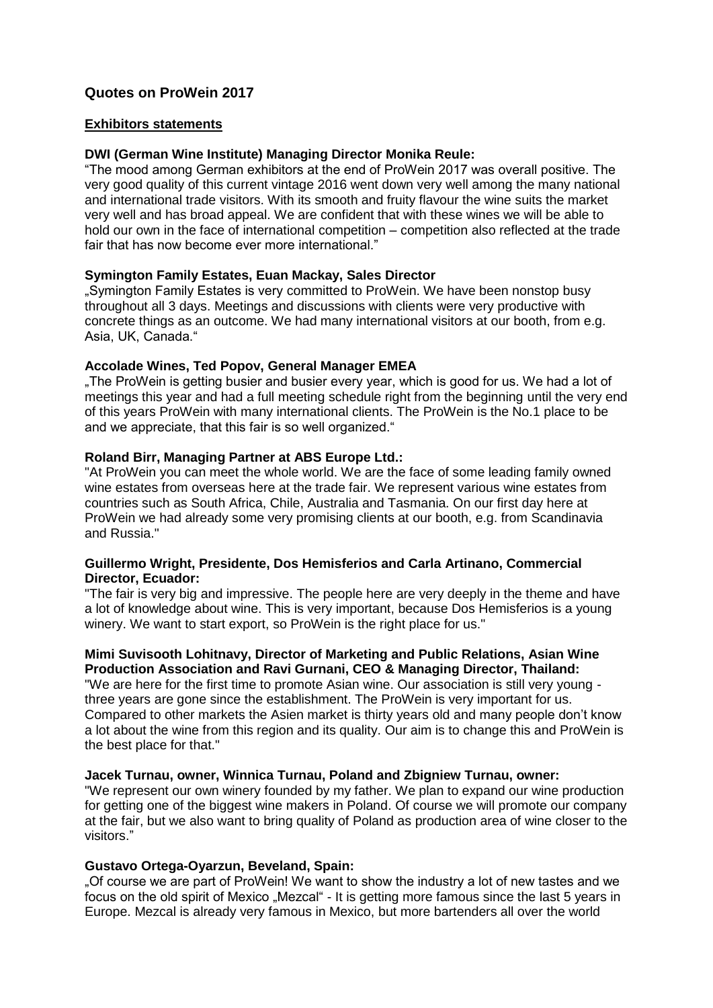# **Quotes on ProWein 2017**

#### **Exhibitors statements**

### **DWI (German Wine Institute) Managing Director Monika Reule:**

"The mood among German exhibitors at the end of ProWein 2017 was overall positive. The very good quality of this current vintage 2016 went down very well among the many national and international trade visitors. With its smooth and fruity flavour the wine suits the market very well and has broad appeal. We are confident that with these wines we will be able to hold our own in the face of international competition – competition also reflected at the trade fair that has now become ever more international."

### **Symington Family Estates, Euan Mackay, Sales Director**

"Symington Family Estates is very committed to ProWein. We have been nonstop busy throughout all 3 days. Meetings and discussions with clients were very productive with concrete things as an outcome. We had many international visitors at our booth, from e.g. Asia, UK, Canada."

### **Accolade Wines, Ted Popov, General Manager EMEA**

"The ProWein is getting busier and busier every year, which is good for us. We had a lot of meetings this year and had a full meeting schedule right from the beginning until the very end of this years ProWein with many international clients. The ProWein is the No.1 place to be and we appreciate, that this fair is so well organized."

### **Roland Birr, Managing Partner at ABS Europe Ltd.:**

"At ProWein you can meet the whole world. We are the face of some leading family owned wine estates from overseas here at the trade fair. We represent various wine estates from countries such as South Africa, Chile, Australia and Tasmania. On our first day here at ProWein we had already some very promising clients at our booth, e.g. from Scandinavia and Russia."

#### **Guillermo Wright, Presidente, Dos Hemisferios and Carla Artinano, Commercial Director, Ecuador:**

"The fair is very big and impressive. The people here are very deeply in the theme and have a lot of knowledge about wine. This is very important, because Dos Hemisferios is a young winery. We want to start export, so ProWein is the right place for us."

#### **Mimi Suvisooth Lohitnavy, Director of Marketing and Public Relations, Asian Wine Production Association and Ravi Gurnani, CEO & Managing Director, Thailand:**

"We are here for the first time to promote Asian wine. Our association is still very young three years are gone since the establishment. The ProWein is very important for us. Compared to other markets the Asien market is thirty years old and many people don't know a lot about the wine from this region and its quality. Our aim is to change this and ProWein is the best place for that."

### **Jacek Turnau, owner, Winnica Turnau, Poland and Zbigniew Turnau, owner:**

"We represent our own winery founded by my father. We plan to expand our wine production for getting one of the biggest wine makers in Poland. Of course we will promote our company at the fair, but we also want to bring quality of Poland as production area of wine closer to the visitors."

### **Gustavo Ortega-Oyarzun, Beveland, Spain:**

"Of course we are part of ProWein! We want to show the industry a lot of new tastes and we focus on the old spirit of Mexico "Mezcal" - It is getting more famous since the last 5 years in Europe. Mezcal is already very famous in Mexico, but more bartenders all over the world